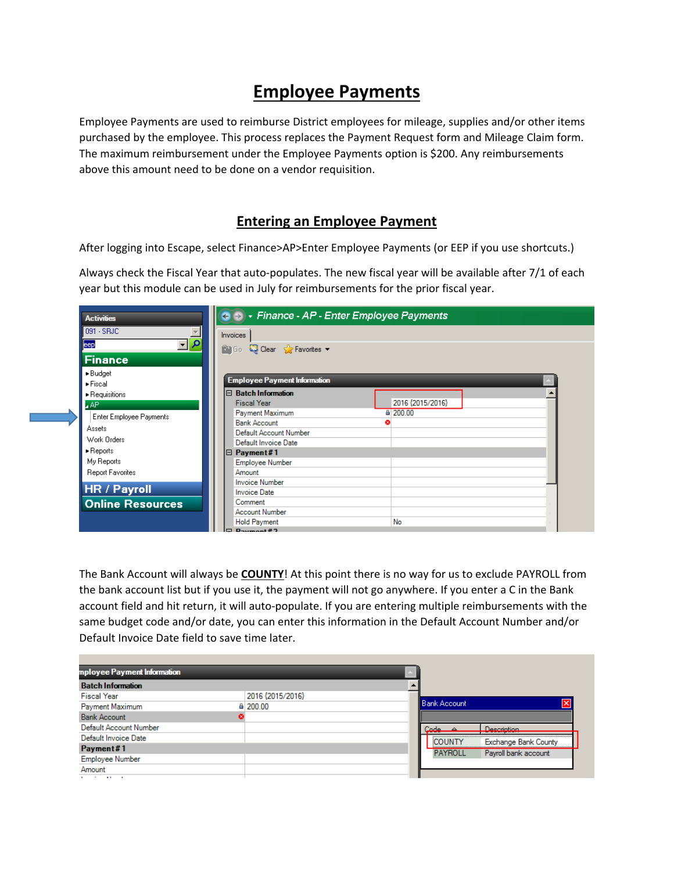# **Employee Payments**

 purchased by the employee. This process replaces the Payment Request form and Mileage Claim form. Employee Payments are used to reimburse District employees for mileage, supplies and/or other items The maximum reimbursement under the Employee Payments option is \$200. Any reimbursements above this amount need to be done on a vendor requisition.

### **Entering an Employee Payment**

After logging into Escape, select Finance>AP>Enter Employee Payments (or EEP if you use shortcuts.)

 Always check the Fiscal Year that auto‐populates. The new fiscal year will be available after 7/1 of each year but this module can be used in July for reimbursements for the prior fiscal year.

| <b>Activities</b>                                               | - Finance - AP - Enter Employee Payments<br>$\leftrightarrow$      |  |  |  |  |  |  |  |  |  |
|-----------------------------------------------------------------|--------------------------------------------------------------------|--|--|--|--|--|--|--|--|--|
| 091 - SRJC                                                      | <b>Invoices</b>                                                    |  |  |  |  |  |  |  |  |  |
| $\frac{1}{2}$<br>eep                                            | <b>Pa Go</b> C Clear S Favorites v                                 |  |  |  |  |  |  |  |  |  |
| <b>Finance</b>                                                  |                                                                    |  |  |  |  |  |  |  |  |  |
| $\blacktriangleright$ Budget<br>$\blacktriangleright$ Fiscal    | <b>Employee Payment Information</b>                                |  |  |  |  |  |  |  |  |  |
| $\blacktriangleright$ Requisitions<br><b>AP</b>                 | $\Box$ Batch Information<br>2016 {2015/2016}<br><b>Fiscal Year</b> |  |  |  |  |  |  |  |  |  |
| <b>Enter Employee Payments</b>                                  | 4 200.00<br>Payment Maximum<br><b>Bank Account</b><br>Ω            |  |  |  |  |  |  |  |  |  |
| Assets<br>Work Orders                                           | Default Account Number<br>Default Invoice Date                     |  |  |  |  |  |  |  |  |  |
| $\blacktriangleright$ Reports<br>My Reports<br>Report Favorites | Payment#1<br>18<br>Employee Number<br>Amount                       |  |  |  |  |  |  |  |  |  |
| <b>HR / Payroll</b>                                             | <b>Invoice Number</b><br><b>Invoice Date</b>                       |  |  |  |  |  |  |  |  |  |
| <b>Online Resources</b>                                         | Comment<br><b>Account Number</b><br>No                             |  |  |  |  |  |  |  |  |  |
|                                                                 | <b>Hold Payment</b><br>$\Box$ Davmont #2                           |  |  |  |  |  |  |  |  |  |

 the bank account list but if you use it, the payment will not go anywhere. If you enter a C in the Bank The Bank Account will always be **COUNTY**! At this point there is no way for us to exclude PAYROLL from account field and hit return, it will auto-populate. If you are entering multiple reimbursements with the same budget code and/or date, you can enter this information in the Default Account Number and/or Default Invoice Date field to save time later.

| mployee Payment Information           |                  |  |                     |                             |
|---------------------------------------|------------------|--|---------------------|-----------------------------|
| <b>Batch Information</b>              |                  |  |                     |                             |
| <b>Fiscal Year</b>                    | 2016 {2015/2016} |  |                     |                             |
| Payment Maximum                       | ≙ 200.00         |  | <b>Bank Account</b> | Ι×                          |
| <b>Bank Account</b>                   |                  |  |                     |                             |
| Default Account Number                |                  |  | Code P              | <b>Naporintinn</b>          |
| Default Invoice Date                  |                  |  | COUNTY              | <b>Exchange Bank County</b> |
| Payment#1                             |                  |  | <b>PAYROLL</b>      | Payroll bank account        |
| Employee Number                       |                  |  |                     |                             |
| Amount                                |                  |  |                     |                             |
| <b>All Contract Contract Contract</b> |                  |  |                     |                             |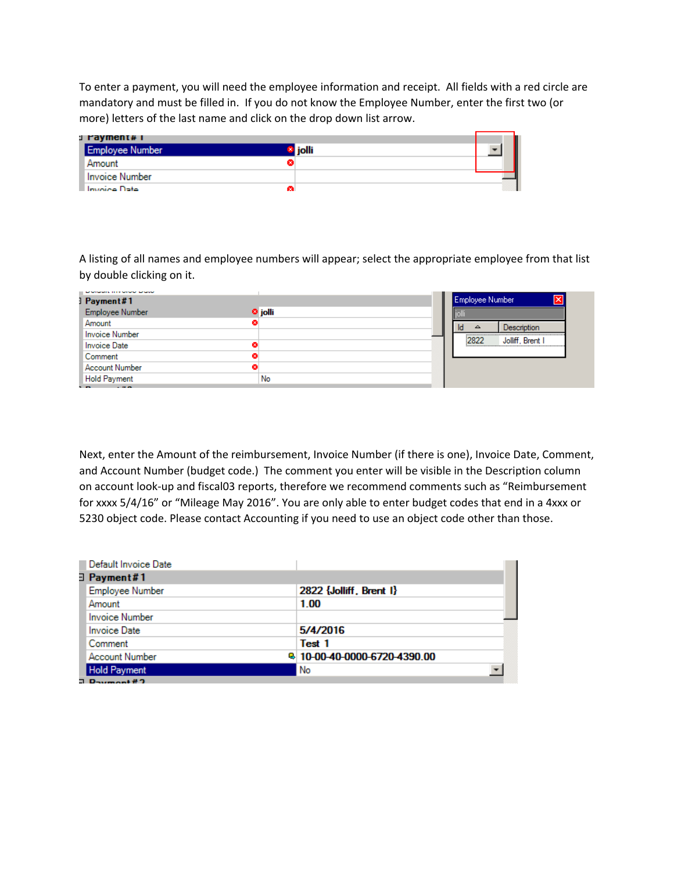To enter a payment, you will need the employee information and receipt. All fields with a red circle are mandatory and must be filled in. If you do not know the Employee Number, enter the first two (or more) letters of the last name and click on the drop down list arrow.

| 」 rayment# i           |                |  |
|------------------------|----------------|--|
| <b>Employee Number</b> | <b>l</b> iolli |  |
| Amount                 |                |  |
| <b>Invoice Number</b>  |                |  |
| Invoice Date<br>ø.     |                |  |

A listing of all names and employee numbers will appear; select the appropriate employee from that list by double clicking on it.

| <b>APARTMENTS INTERNATIVE APARTMENT</b> |                    |                          |
|-----------------------------------------|--------------------|--------------------------|
| ] Payment#1                             |                    | Employee Number<br>ΙxΙ   |
| Employee Number                         | <sup>O</sup> jolli |                          |
| Amount                                  |                    | <b>Description</b><br>▵  |
| Invoice Number                          |                    |                          |
| Invoice Date                            |                    | Jolliff, Brent I<br>2822 |
| Comment                                 |                    |                          |
| Account Number                          |                    |                          |
| Hold Payment                            | No                 |                          |
|                                         |                    |                          |

 for xxxx 5/4/16" or "Mileage May 2016". You are only able to enter budget codes that end in a 4xxx or Next, enter the Amount of the reimbursement, Invoice Number (if there is one), Invoice Date, Comment, and Account Number (budget code.) The comment you enter will be visible in the Description column on account look‐up and fiscal03 reports, therefore we recommend comments such as "Reimbursement 5230 object code. Please contact Accounting if you need to use an object code other than those.

| Default Invoice Date  |                              |
|-----------------------|------------------------------|
| ∃ Payment#1           |                              |
| Employee Number       | 2822 {Jolliff, Brent I}      |
| Amount                | 1.00                         |
| Invoice Number        |                              |
| <b>Invoice Date</b>   | 5/4/2016                     |
| Comment               | Test 1                       |
| <b>Account Number</b> | B 10-00-40-0000-6720-4390.00 |
| <b>Hold Payment</b>   | No                           |
|                       |                              |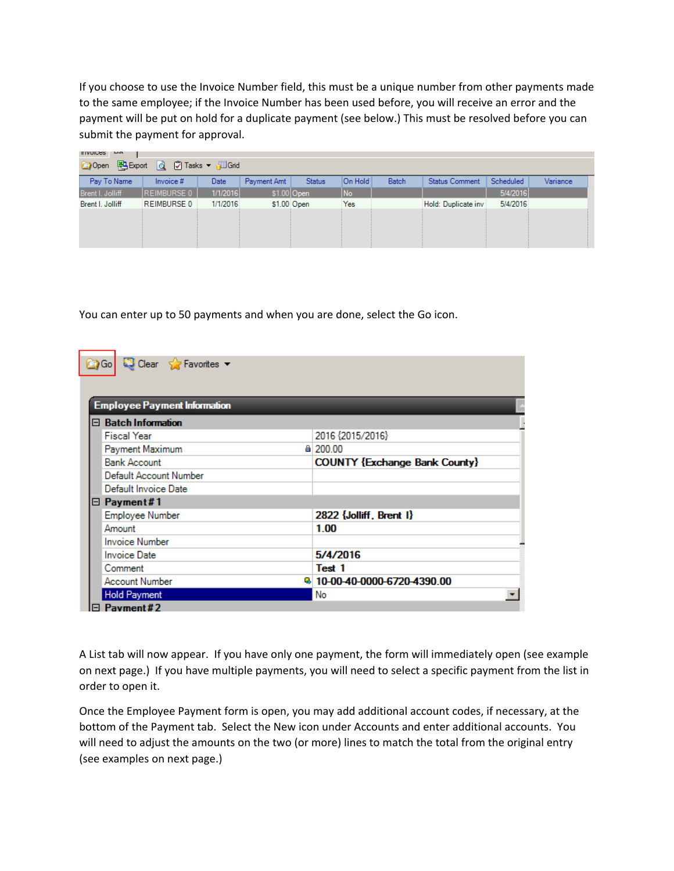If you choose to use the Invoice Number field, this must be a unique number from other payments made to the same employee; if the Invoice Number has been used before, you will receive an error and the payment will be put on hold for a duplicate payment (see below.) This must be resolved before you can submit the payment for approval.

| <b>LIGE</b><br><b>INDICES</b>                   |                    |          |             |               |                |              |                       |           |          |  |  |
|-------------------------------------------------|--------------------|----------|-------------|---------------|----------------|--------------|-----------------------|-----------|----------|--|--|
| 图 Export Q   7 Tasks ▼ 週 Grid<br><b>Co</b> Open |                    |          |             |               |                |              |                       |           |          |  |  |
| Pay To Name                                     | Invoice #          | Date     | Payment Amt | <b>Status</b> | On Hold        | <b>Batch</b> | <b>Status Comment</b> | Scheduled | Variance |  |  |
| Brent I. Jolliff                                | <b>REIMBURSE 0</b> | 1/1/2016 |             | $$1.00 $ Open | N <sub>o</sub> |              |                       | 5/4/2016  |          |  |  |
| Brent I. Jolliff                                | REIMBURSE 0        | 1/1/2016 |             | \$1.00 Open   | Yes            |              | Hold: Duplicate inv   | 5/4/2016  |          |  |  |
|                                                 |                    |          |             |               |                |              |                       |           |          |  |  |
|                                                 |                    |          |             |               |                |              |                       |           |          |  |  |
|                                                 |                    |          |             |               |                |              |                       |           |          |  |  |
|                                                 |                    |          |             |               |                |              |                       |           |          |  |  |

You can enter up to 50 payments and when you are done, select the Go icon.

| Clear Scravorites<br>国 Gol          |                                      |
|-------------------------------------|--------------------------------------|
|                                     |                                      |
|                                     |                                      |
| <b>Employee Payment Information</b> |                                      |
| □ Batch Information                 |                                      |
| <b>Fiscal Year</b>                  | 2016 {2015/2016}                     |
| Payment Maximum                     | 4 200.00                             |
| <b>Bank Account</b>                 | <b>COUNTY {Exchange Bank County}</b> |
| Default Account Number              |                                      |
| Default Invoice Date                |                                      |
| $\boxminus$ Payment#1               |                                      |
| Employee Number                     | 2822 {Jolliff, Brent I}              |
| Amount                              | 1.00                                 |
| <b>Invoice Number</b>               |                                      |
| <b>Invoice Date</b>                 | 5/4/2016                             |
| Comment                             | Test 1                               |
| <b>Account Number</b>               | <b>B</b> 10-00-40-0000-6720-4390.00  |
| <b>Hold Payment</b>                 | No                                   |
| Payment#2                           |                                      |

A List tab will now appear. If you have only one payment, the form will immediately open (see example on next page.) If you have multiple payments, you will need to select a specific payment from the list in order to open it.

 bottom of the Payment tab. Select the New icon under Accounts and enter additional accounts. You Once the Employee Payment form is open, you may add additional account codes, if necessary, at the will need to adjust the amounts on the two (or more) lines to match the total from the original entry (see examples on next page.)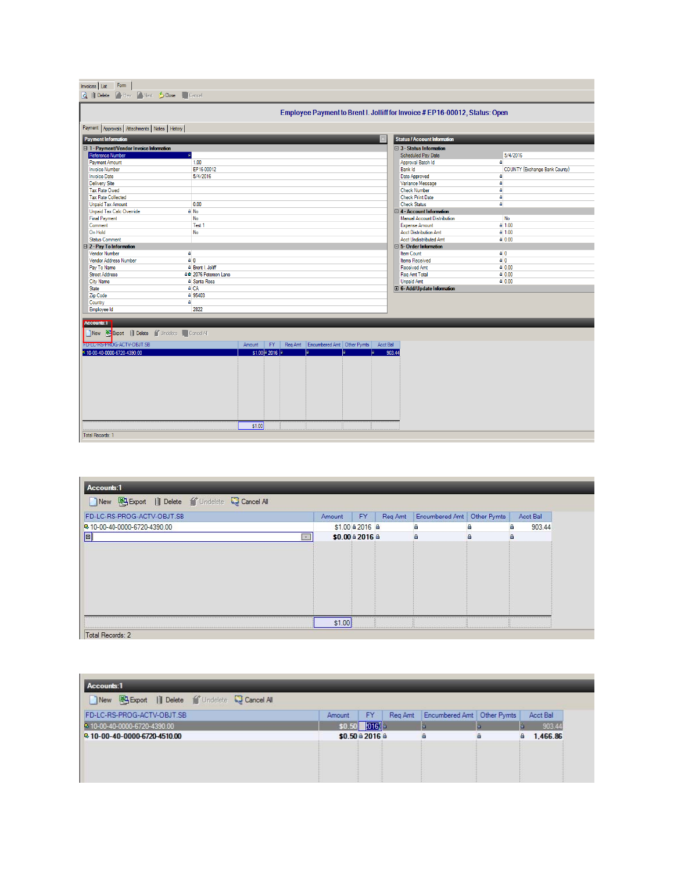| Form<br>Invoices List<br><b>CyPrev Control Concerned Cancel</b><br><b>Q</b> III Delete |                                 |        |                     |                                    |          |                                                                             |                               |  |  |  |
|----------------------------------------------------------------------------------------|---------------------------------|--------|---------------------|------------------------------------|----------|-----------------------------------------------------------------------------|-------------------------------|--|--|--|
|                                                                                        |                                 |        |                     |                                    |          |                                                                             |                               |  |  |  |
|                                                                                        |                                 |        |                     |                                    |          | Employee Payment to Brent I. Jolliff for Invoice # EP16-00012, Status: Open |                               |  |  |  |
| Payment Approvals Attachments Notes History                                            |                                 |        |                     |                                    |          |                                                                             |                               |  |  |  |
| <b>Payment Information</b>                                                             |                                 |        |                     |                                    |          | <b>Status / Account Information</b>                                         |                               |  |  |  |
| □ 1 - Payment/Vendor Invoice Information                                               |                                 |        |                     |                                    |          | $\Box$ 3 - Status Information                                               |                               |  |  |  |
| Reference Number                                                                       |                                 |        |                     |                                    |          | Scheduled Pay Date                                                          | 5/4/2016                      |  |  |  |
| <b>Payment Amount</b>                                                                  | 1.00                            |        |                     |                                    |          | Approval Batch Id                                                           | А                             |  |  |  |
| <b>Invoice Number</b>                                                                  | EP16-00012                      |        |                     |                                    |          | Bank Id                                                                     | COUNTY {Exchange Bank County} |  |  |  |
| <b>Invoice Date</b>                                                                    | 5/4/2016                        |        |                     |                                    |          | Date Approved                                                               | ô.                            |  |  |  |
| <b>Delivery Site</b>                                                                   |                                 |        |                     |                                    |          | Variance Message                                                            | a                             |  |  |  |
| <b>Tax Rate Owed</b>                                                                   |                                 |        |                     |                                    |          | <b>Check Number</b>                                                         | a                             |  |  |  |
| <b>Tax Rate Collected</b>                                                              |                                 |        |                     |                                    |          | <b>Check Print Date</b>                                                     | A                             |  |  |  |
| <b>Unpaid Tax Amount</b>                                                               | 0.00                            |        |                     |                                    |          | <b>Check Status</b>                                                         | a                             |  |  |  |
| <b>Unpaid Tax Calc Override</b>                                                        | <sup>≞</sup> No                 |        |                     |                                    |          | $\boxminus$ 4 - Account Information                                         |                               |  |  |  |
| <b>Final Payment</b>                                                                   | No                              |        |                     |                                    |          | Manual Account Distribution                                                 | <b>No</b>                     |  |  |  |
| Comment                                                                                | Test 1                          |        |                     |                                    |          | <b>Expense Amount</b>                                                       | $a$ 1.00                      |  |  |  |
| On Hold                                                                                | No                              |        |                     |                                    |          | <b>Acct Distribution Amt</b>                                                | $a$ 1.00                      |  |  |  |
| <b>Status Comment</b>                                                                  |                                 |        |                     |                                    |          | <b>Acct Undistributed Amt</b>                                               | $a$ 0.00                      |  |  |  |
| □ 2 - Pay To Information                                                               |                                 |        |                     |                                    |          | $\boxminus$ 5-Order Information                                             |                               |  |  |  |
| <b>Vendor Number</b>                                                                   | a                               |        |                     |                                    |          | Item Count                                                                  | 60                            |  |  |  |
| Vendor Address Number                                                                  | 60                              |        |                     |                                    |          | Items Received                                                              | 60                            |  |  |  |
| Pay To Name                                                                            | <b>&amp;</b> Brent I. Jolliff   |        |                     |                                    |          | Received Amt                                                                | A 0.00                        |  |  |  |
| <b>Street Address</b>                                                                  | <sup>8</sup> 2076 Peterson Lane |        |                     |                                    |          | Rea Amt Total                                                               | A 0.00                        |  |  |  |
| City Name                                                                              | <b>A</b> Santa Rosa             |        |                     |                                    |          | <b>Unpaid Amt</b>                                                           | A 0.00                        |  |  |  |
| <b>State</b>                                                                           | <b>A</b> CA                     |        |                     |                                    |          | E 6-Add/Update Information                                                  |                               |  |  |  |
| Zip Code                                                                               | A 95403                         |        |                     |                                    |          |                                                                             |                               |  |  |  |
| Country                                                                                | $\mathbf{a}$                    |        |                     |                                    |          |                                                                             |                               |  |  |  |
| Employee Id                                                                            | 2822                            |        |                     |                                    |          |                                                                             |                               |  |  |  |
|                                                                                        |                                 |        |                     |                                    |          |                                                                             |                               |  |  |  |
| ACCOUNTS: I                                                                            |                                 |        |                     |                                    |          |                                                                             |                               |  |  |  |
| New <b>ED</b> Export   Delete   Undelete   Cancel All                                  |                                 |        |                     |                                    |          |                                                                             |                               |  |  |  |
| FU-LC-RS-PROG-ACTV-OBJT.SB                                                             |                                 | Amount | FY.                 | Req Amt Encumbered Amt Other Pymts | Acct Bal |                                                                             |                               |  |  |  |
| 4 10-00-40-0000-6720-4390.00                                                           |                                 |        | $$1.00 \times 2016$ |                                    |          | 903.44                                                                      |                               |  |  |  |
|                                                                                        |                                 |        |                     |                                    |          |                                                                             |                               |  |  |  |
|                                                                                        |                                 |        |                     |                                    |          |                                                                             |                               |  |  |  |
|                                                                                        |                                 |        |                     |                                    |          |                                                                             |                               |  |  |  |
|                                                                                        |                                 |        |                     |                                    |          |                                                                             |                               |  |  |  |
|                                                                                        |                                 |        |                     |                                    |          |                                                                             |                               |  |  |  |
|                                                                                        |                                 |        |                     |                                    |          |                                                                             |                               |  |  |  |
|                                                                                        |                                 |        |                     |                                    |          |                                                                             |                               |  |  |  |
|                                                                                        |                                 |        |                     |                                    |          |                                                                             |                               |  |  |  |
|                                                                                        |                                 |        |                     |                                    |          |                                                                             |                               |  |  |  |
|                                                                                        |                                 | \$1.00 |                     |                                    |          |                                                                             |                               |  |  |  |
| Total Records: 1                                                                       |                                 |        |                     |                                    |          |                                                                             |                               |  |  |  |
|                                                                                        |                                 |        |                     |                                    |          |                                                                             |                               |  |  |  |

| New <b>Export</b>   Delete fundelete Cancel All |        |                 |         |                            |   |             |
|-------------------------------------------------|--------|-----------------|---------|----------------------------|---|-------------|
| FD-LC-RS-PROG-ACTV-OBJT.SB                      | Amount | <b>FY</b>       | Reg Amt | Encumbered Amt Other Pymts |   | Acct Bal    |
| B-10-00-40-0000-6720-4390.00                    |        | \$1.00 ± 2016 ± |         | e                          | a | 903.44<br>e |
| $\vert$ o $\vert$<br>$\sim$                     |        | \$0.00 à 2016 à |         | А                          | 音 | A           |
|                                                 |        |                 |         |                            |   |             |
|                                                 | \$1.00 |                 |         |                            |   |             |

Accounts:1 New **B** Export | Delete fundelete C Cancel All Amount FY Req Amt Encumbered Amt Other Pymts Acct Ball<br> **SOL50** 2013 4 FD-LC-RS-PROG-ACTV-OBJT.SB 903.44 3 10-00-40-0000-6720-4390.00 ® 10-00-40-0000-6720-4510.00 \$0.50 à 2016 à  $4 1,466.86$  $\triangleq$  $\Box$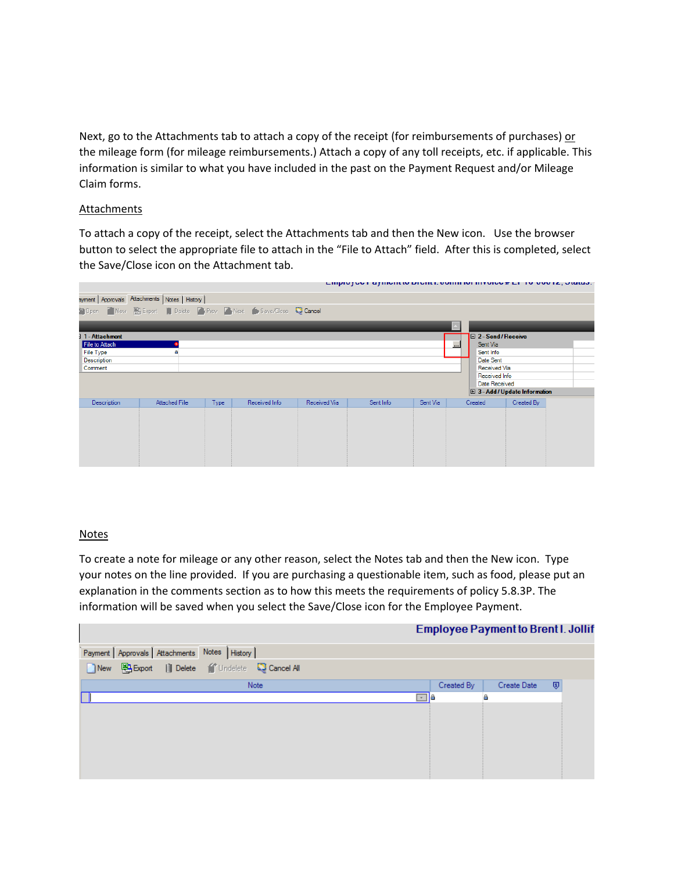Next, go to the Attachments tab to attach a copy of the receipt (for reimbursements of purchases) or the mileage form (for mileage reimbursements.) Attach a copy of any toll receipts, etc. if applicable. This information is similar to what you have included in the past on the Payment Request and/or Mileage Claim forms.

#### **Attachments**

 To attach a copy of the receipt, select the Attachments tab and then the New icon. Use the browser button to select the appropriate file to attach in the "File to Attach" field. After this is completed, select the Save/Close icon on the Attachment tab.

|                    |                                                  |      |                                                         |              | Linpivity in a financial profits, overelian in a service at the vertext planets. |          |          |                           |                                     |  |
|--------------------|--------------------------------------------------|------|---------------------------------------------------------|--------------|----------------------------------------------------------------------------------|----------|----------|---------------------------|-------------------------------------|--|
|                    | ayment   Approvals Attachments   Notes   History |      |                                                         |              |                                                                                  |          |          |                           |                                     |  |
|                    |                                                  |      | Open New BExport Delete PyPrev Next Save/Close Q Cancel |              |                                                                                  |          |          |                           |                                     |  |
|                    |                                                  |      |                                                         |              |                                                                                  |          |          |                           |                                     |  |
| 11-Attachment      |                                                  |      |                                                         |              |                                                                                  |          |          | $\Box$ 2 - Send / Receive |                                     |  |
| File to Attach     |                                                  |      |                                                         |              |                                                                                  |          | $\cdots$ | Sent Via                  |                                     |  |
| File Type          | а                                                |      |                                                         |              |                                                                                  |          |          | Sent Info                 |                                     |  |
| Description        |                                                  |      |                                                         |              |                                                                                  |          |          | Date Sent                 |                                     |  |
| Comment            |                                                  |      |                                                         |              |                                                                                  |          |          | Received Via              |                                     |  |
|                    |                                                  |      |                                                         |              |                                                                                  |          |          | Received Info             |                                     |  |
|                    |                                                  |      |                                                         |              |                                                                                  |          |          | Date Received             |                                     |  |
|                    |                                                  |      |                                                         |              |                                                                                  |          |          |                           | <b>⊞ 3-Add / Update Information</b> |  |
| <b>Description</b> | <b>Attached File</b>                             | Type | Received Info                                           | Received Via | Sent Info                                                                        | Sent Via |          | Created                   | Created By                          |  |
|                    |                                                  |      |                                                         |              |                                                                                  |          |          |                           |                                     |  |
|                    |                                                  |      |                                                         |              |                                                                                  |          |          |                           |                                     |  |
|                    |                                                  |      |                                                         |              |                                                                                  |          |          |                           |                                     |  |
|                    |                                                  |      |                                                         |              |                                                                                  |          |          |                           |                                     |  |
|                    |                                                  |      |                                                         |              |                                                                                  |          |          |                           |                                     |  |
|                    |                                                  |      |                                                         |              |                                                                                  |          |          |                           |                                     |  |
|                    |                                                  |      |                                                         |              |                                                                                  |          |          |                           |                                     |  |

#### Notes

 your notes on the line provided. If you are purchasing a questionable item, such as food, please put an To create a note for mileage or any other reason, select the Notes tab and then the New icon. Type explanation in the comments section as to how this meets the requirements of policy 5.8.3P. The information will be saved when you select the Save/Close icon for the Employee Payment.

|                                                           |            | <b>Employee Payment to Brent I. Jollif</b> |   |
|-----------------------------------------------------------|------------|--------------------------------------------|---|
| Payment Approvals Attachments Notes History               |            |                                            |   |
| New <b>Export</b>   Delete   Undelete <b>Q</b> Cancel All |            |                                            |   |
| <b>Note</b>                                               | Created By | Create Date                                | ⊕ |
|                                                           | Ιê<br>Ne a | д                                          |   |
|                                                           |            |                                            |   |
|                                                           |            |                                            |   |
|                                                           |            |                                            |   |
|                                                           |            |                                            |   |
|                                                           |            |                                            |   |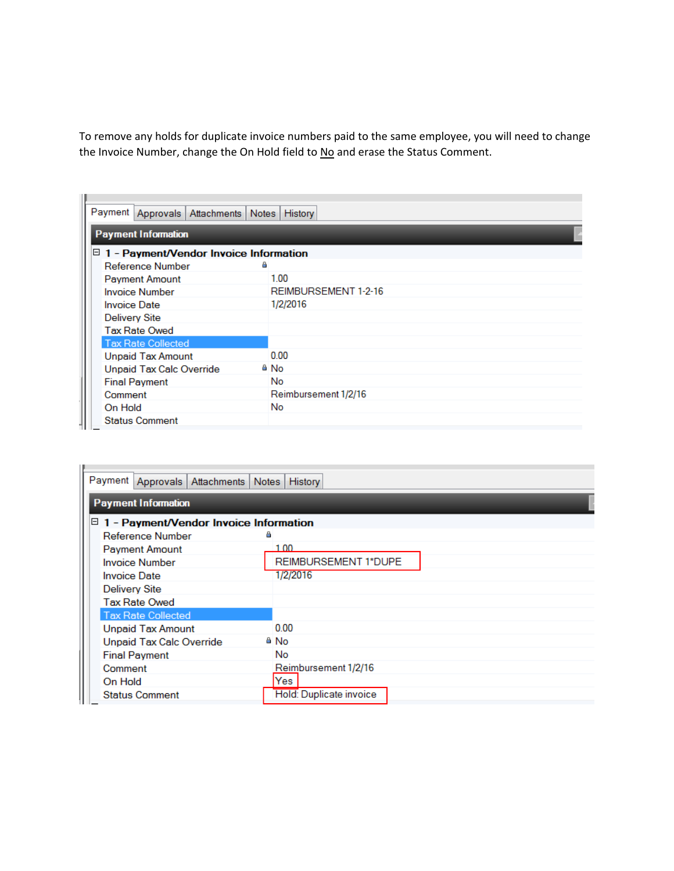To remove any holds for duplicate invoice numbers paid to the same employee, you will need to change the Invoice Number, change the On Hold field to No and erase the Status Comment.

| Payment Approvals   Attachments   Notes   History |                      |  |  |  |  |  |  |  |
|---------------------------------------------------|----------------------|--|--|--|--|--|--|--|
| <b>Payment Information</b>                        |                      |  |  |  |  |  |  |  |
| $\boxdot$ 1 - Payment/Vendor Invoice Information  |                      |  |  |  |  |  |  |  |
| Reference Number                                  | ۵                    |  |  |  |  |  |  |  |
| <b>Payment Amount</b>                             | 1.00                 |  |  |  |  |  |  |  |
| <b>Invoice Number</b>                             | REIMBURSEMENT 1-2-16 |  |  |  |  |  |  |  |
| <b>Invoice Date</b>                               | 1/2/2016             |  |  |  |  |  |  |  |
| Delivery Site                                     |                      |  |  |  |  |  |  |  |
| <b>Tax Rate Owed</b>                              |                      |  |  |  |  |  |  |  |
| <b>Tax Rate Collected</b>                         |                      |  |  |  |  |  |  |  |
| <b>Unpaid Tax Amount</b>                          | 0.00                 |  |  |  |  |  |  |  |
| <b>Unpaid Tax Calc Override</b>                   | <sup>≙</sup> No      |  |  |  |  |  |  |  |
| <b>Final Payment</b>                              | No                   |  |  |  |  |  |  |  |
| Comment                                           | Reimbursement 1/2/16 |  |  |  |  |  |  |  |
| On Hold                                           | <b>No</b>            |  |  |  |  |  |  |  |
| <b>Status Comment</b>                             |                      |  |  |  |  |  |  |  |

| Payment   Approvals   Attachments   Notes        | History                 |  |  |  |  |  |  |
|--------------------------------------------------|-------------------------|--|--|--|--|--|--|
| <b>Payment Information</b>                       |                         |  |  |  |  |  |  |
| $\boxdot$ 1 - Payment/Vendor Invoice Information |                         |  |  |  |  |  |  |
| Reference Number                                 | 菖                       |  |  |  |  |  |  |
| <b>Payment Amount</b>                            | 1.00                    |  |  |  |  |  |  |
| <b>Invoice Number</b>                            | REIMBURSEMENT 1*DUPE    |  |  |  |  |  |  |
| <b>Invoice Date</b>                              | 1/2/2016                |  |  |  |  |  |  |
| <b>Delivery Site</b>                             |                         |  |  |  |  |  |  |
| <b>Tax Rate Owed</b>                             |                         |  |  |  |  |  |  |
| <b>Tax Rate Collected</b>                        |                         |  |  |  |  |  |  |
| <b>Unpaid Tax Amount</b>                         | 0.00                    |  |  |  |  |  |  |
| Unpaid Tax Calc Override                         | ≜ No                    |  |  |  |  |  |  |
| <b>Final Payment</b>                             | No.                     |  |  |  |  |  |  |
| Comment                                          | Reimbursement 1/2/16    |  |  |  |  |  |  |
| On Hold                                          | Yes                     |  |  |  |  |  |  |
| <b>Status Comment</b>                            | Hold: Duplicate invoice |  |  |  |  |  |  |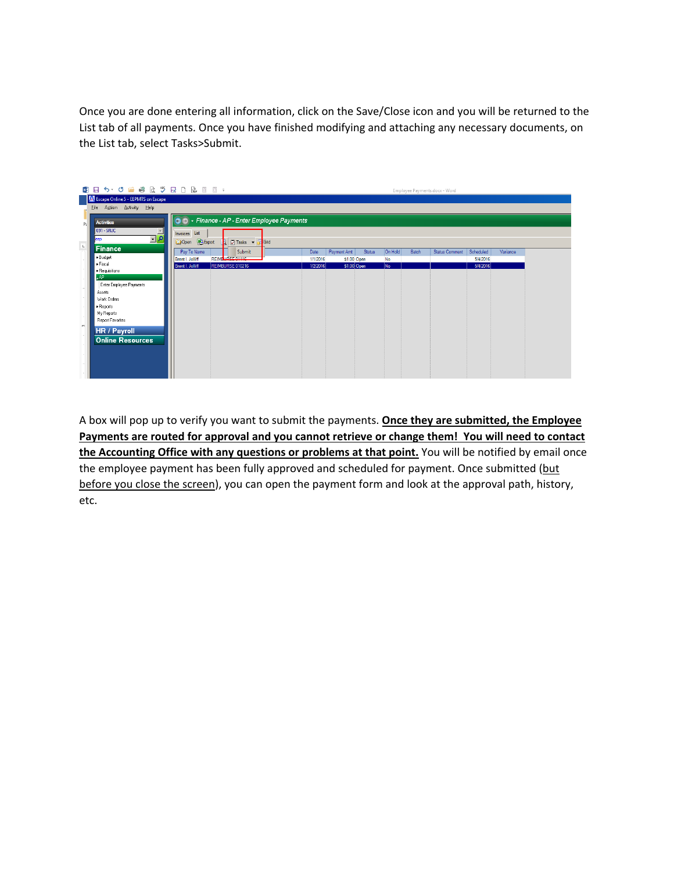Once you are done entering all information, click on the Save/Close icon and you will be returned to the List tab of all payments. Once you have finished modifying and attaching any necessary documents, on the List tab, select Tasks>Submit.



 **Payments are routed for approval and you cannot retrieve or change them! You will need to contact** before you close the screen), you can open the payment form and look at the approval path, history, A box will pop up to verify you want to submit the payments. **Once they are submitted, the Employee the Accounting Office with any questions or problems at that point.** You will be notified by email once the employee payment has been fully approved and scheduled for payment. Once submitted (but etc.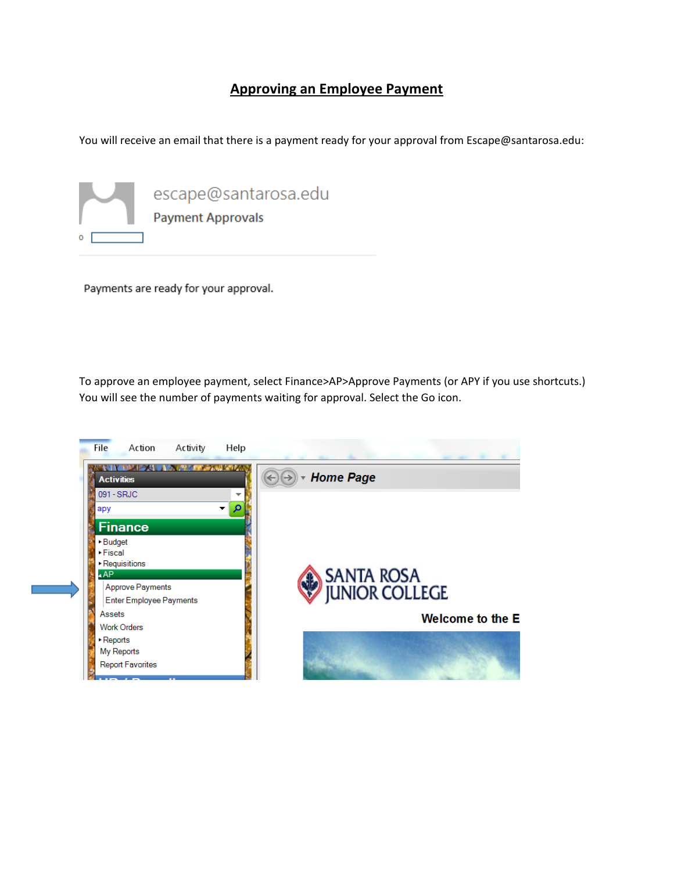## **Approving an Employee Payment**

You will receive an email that there is a payment ready for your approval from Escape@santarosa.edu:



Payments are ready for your approval.

To approve an employee payment, select Finance>AP>Approve Payments (or APY if you use shortcuts.) You will see the number of payments waiting for approval. Select the Go icon.

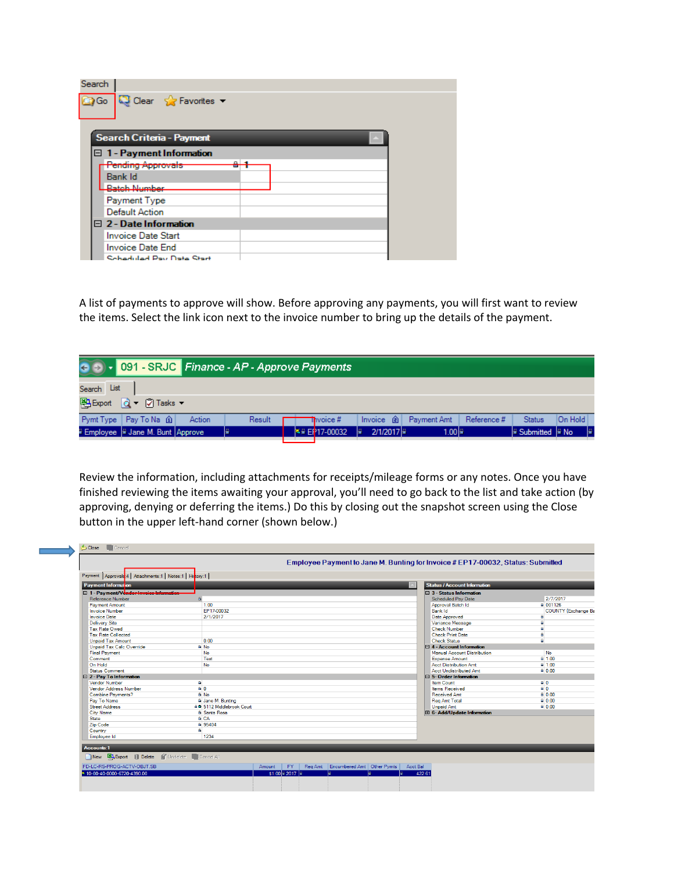| Search                                    |  |
|-------------------------------------------|--|
| Go Q Clear & Favorites                    |  |
| Search Criteria - Payment                 |  |
| □ 1 - Payment Information                 |  |
| <b>Pending Approvals</b><br>$\sim$ $\sim$ |  |
| Bank Id                                   |  |
| <b>Ratch Number</b>                       |  |
| Payment Type                              |  |
| <b>Default Action</b>                     |  |
| $\Box$ 2 - Date Information               |  |
| <b>Invoice Date Start</b>                 |  |
| Invoice Date End                          |  |
| Schoduled Pay Date Start                  |  |

 the items. Select the link icon next to the invoice number to bring up the details of the payment. A list of payments to approve will show. Before approving any payments, you will first want to review



Review the information, including attachments for receipts/mileage forms or any notes. Once you have finished reviewing the items awaiting your approval, you'll need to go back to the list and take action (by approving, denying or deferring the items.) Do this by closing out the snapshot screen using the Close button in the upper left‐hand corner (shown below.)

| Payment Information                     |                           |  |  | <b>Status / Account Information</b> |                            |
|-----------------------------------------|---------------------------|--|--|-------------------------------------|----------------------------|
| □ 1 - Payment/Vendor Invoice Informatio |                           |  |  | $\boxminus$ 3 - Status Information  |                            |
| Reference Number                        |                           |  |  | <b>Scheduled Pay Date</b>           | 2/7/2017                   |
| <b>Payment Amount</b>                   | 1.00                      |  |  | Approval Batch Id                   | a 001126                   |
| <b>Invoice Number</b>                   | EP17-00032                |  |  | Bank Id                             | <b>COUNTY {Exchange Ba</b> |
| <b>Invoice Date</b>                     | 2/1/2017                  |  |  | Date Approved                       | Α                          |
| <b>Delivery Site</b>                    |                           |  |  | Variance Message                    | A                          |
| <b>Tax Rate Owed</b>                    |                           |  |  | <b>Check Number</b>                 | A                          |
| <b>Tax Rate Collected</b>               |                           |  |  | <b>Check Print Date</b>             | $\overline{a}$             |
| <b>Unpaid Tax Amount</b>                | 0.00                      |  |  | <b>Check Status</b>                 | a                          |
| <b>Unpaid Tax Calc Override</b>         | A No                      |  |  | $\Box$ 4 - Account Information      |                            |
| <b>Final Payment</b>                    | <b>No</b>                 |  |  | <b>Manual Account Distribution</b>  | No                         |
| Comment                                 | Test                      |  |  | <b>Expense Amount</b>               | $A = 1.00$                 |
| On Hold                                 | <b>No</b>                 |  |  | <b>Acct Distribution Amt</b>        | $A = 100$                  |
| <b>Status Comment</b>                   |                           |  |  | <b>Acct Undistributed Amt</b>       | $A = 0.00$                 |
| $\boxminus$ 2 - Pay To Information      |                           |  |  | $\boxminus$ 5- Order Information    |                            |
| Vendor Number                           | $\blacksquare$            |  |  | Item Count                          | 60                         |
| <b>Vendor Address Number</b>            | 60                        |  |  | <b>Items Received</b>               | A <sub>0</sub>             |
| <b>Combine Payments?</b>                | A No                      |  |  | <b>Received Amt</b>                 | $A = 0.00$                 |
| Pay To Name                             | & Jane M. Bunting         |  |  | <b>Reg Amt Total</b>                | $a$ 0.00                   |
| <b>Street Address</b>                   | 80 5112 Middlebrook Court |  |  | <b>Unpaid Amt</b>                   | $A = 0.00$                 |
| <b>City Name</b>                        | <sup>a</sup> Santa Rosa   |  |  | E 6- Add/Update Information         |                            |
| <b>State</b>                            | <b>A</b> CA               |  |  |                                     |                            |
| Zip Code                                | a 95404                   |  |  |                                     |                            |
| Country                                 | A.                        |  |  |                                     |                            |
| Employee Id                             | 1234                      |  |  |                                     |                            |